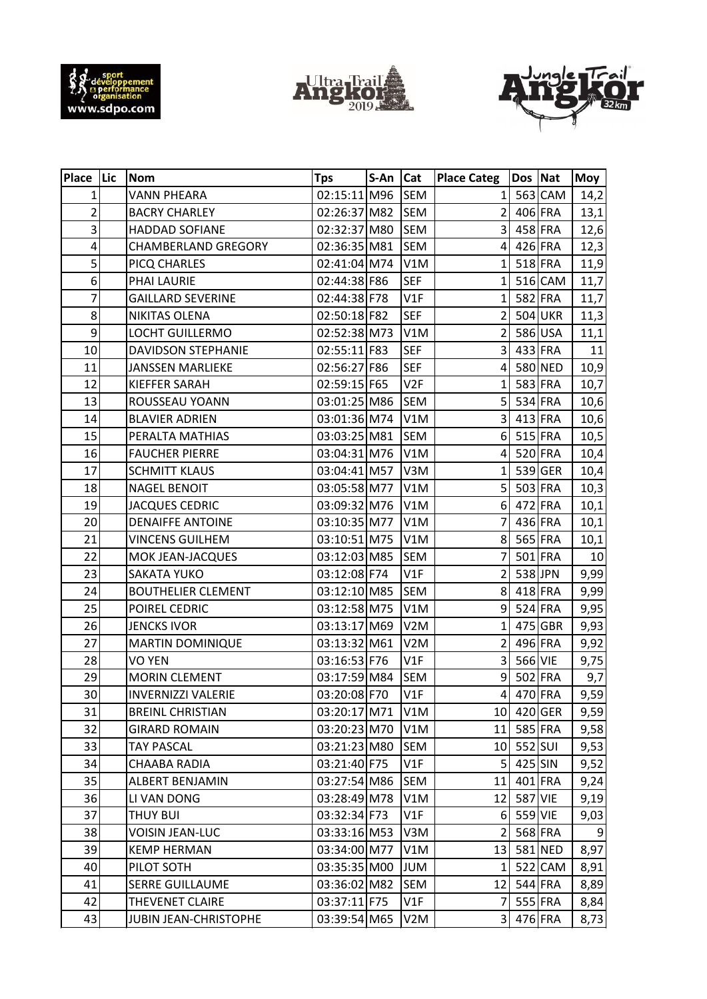





| Place Lic       | <b>Nom</b>                 | <b>Tps</b>   | $S-An$ | Cat              | <b>Place Categ</b>      | Dos Nat |         | Moy  |
|-----------------|----------------------------|--------------|--------|------------------|-------------------------|---------|---------|------|
| $\mathbf{1}$    | <b>VANN PHEARA</b>         | 02:15:11 M96 |        | <b>SEM</b>       | $\mathbf{1}$            |         | 563 CAM | 14,2 |
| $\overline{2}$  | <b>BACRY CHARLEY</b>       | 02:26:37 M82 |        | <b>SEM</b>       | 2                       |         | 406 FRA | 13,1 |
| 3               | HADDAD SOFIANE             | 02:32:37 M80 |        | <b>SEM</b>       | 3                       |         | 458 FRA | 12,6 |
| 4               | <b>CHAMBERLAND GREGORY</b> | 02:36:35 M81 |        | <b>SEM</b>       | $\overline{4}$          |         | 426 FRA | 12,3 |
| 5               | PICQ CHARLES               | 02:41:04 M74 |        | V1M              | $\mathbf{1}$            |         | 518 FRA | 11,9 |
| 6               | PHAI LAURIE                | 02:44:38 F86 |        | <b>SEF</b>       | $\mathbf{1}$            |         | 516 CAM | 11,7 |
| $\overline{7}$  | <b>GAILLARD SEVERINE</b>   | 02:44:38 F78 |        | V1F              | 1                       |         | 582 FRA | 11,7 |
| 8               | NIKITAS OLENA              | 02:50:18 F82 |        | <b>SEF</b>       | $\overline{2}$          |         | 504 UKR | 11,3 |
| 9               | LOCHT GUILLERMO            | 02:52:38 M73 |        | V1M              | $\overline{2}$          |         | 586 USA | 11,1 |
| 10              | <b>DAVIDSON STEPHANIE</b>  | 02:55:11 F83 |        | <b>SEF</b>       | $\overline{3}$          |         | 433 FRA | 11   |
| 11              | <b>JANSSEN MARLIEKE</b>    | 02:56:27 F86 |        | <b>SEF</b>       | $\overline{\mathbf{4}}$ |         | 580 NED | 10,9 |
| 12              | KIEFFER SARAH              | 02:59:15 F65 |        | V <sub>2F</sub>  | $\mathbf{1}$            |         | 583 FRA | 10,7 |
| 13              | ROUSSEAU YOANN             | 03:01:25 M86 |        | <b>SEM</b>       | 5                       |         | 534 FRA | 10,6 |
| 14              | <b>BLAVIER ADRIEN</b>      | 03:01:36 M74 |        | V1M              | 3                       |         | 413 FRA | 10,6 |
| 15              | PERALTA MATHIAS            | 03:03:25 M81 |        | <b>SEM</b>       | $6 \overline{6}$        | 515 FRA |         | 10,5 |
| 16              | <b>FAUCHER PIERRE</b>      | 03:04:31 M76 |        | V1M              | $\overline{4}$          |         | 520 FRA | 10,4 |
| 17              | <b>SCHMITT KLAUS</b>       | 03:04:41 M57 |        | V3M              | 1                       |         | 539 GER | 10,4 |
| 18              | <b>NAGEL BENOIT</b>        | 03:05:58 M77 |        | V1M              | 5                       |         | 503 FRA | 10,3 |
| 19              | <b>JACQUES CEDRIC</b>      | 03:09:32 M76 |        | V1M              | 6 <sup>1</sup>          | 472 FRA |         | 10,1 |
| 20              | <b>DENAIFFE ANTOINE</b>    | 03:10:35 M77 |        | V1M              | $\overline{7}$          |         | 436 FRA | 10,1 |
| 21              | <b>VINCENS GUILHEM</b>     | 03:10:51 M75 |        | V1M              | 8                       | 565 FRA |         | 10,1 |
| 22              | MOK JEAN-JACQUES           | 03:12:03 M85 |        | <b>SEM</b>       | 7                       |         | 501 FRA | 10   |
| 23              | SAKATA YUKO                | 03:12:08 F74 |        | V1F              | $\overline{2}$          | 538 JPN |         | 9,99 |
| 24              | <b>BOUTHELIER CLEMENT</b>  | 03:12:10 M85 |        | <b>SEM</b>       | 8 <sup>1</sup>          |         | 418 FRA | 9,99 |
| 25              | POIREL CEDRIC              | 03:12:58 M75 |        | V1M              | $\overline{9}$          |         | 524 FRA | 9,95 |
| 26              | <b>JENCKS IVOR</b>         | 03:13:17 M69 |        | V <sub>2</sub> M | 1                       |         | 475 GBR | 9,93 |
| 27              | <b>MARTIN DOMINIQUE</b>    | 03:13:32 M61 |        | V <sub>2</sub> M | $\overline{2}$          |         | 496 FRA | 9,92 |
| 28              | <b>VO YEN</b>              | 03:16:53 F76 |        | V1F              | 3                       | 566 VIE |         | 9,75 |
| 29              | <b>MORIN CLEMENT</b>       | 03:17:59 M84 |        | SEM              | 9                       |         | 502 FRA | 9,7  |
| 30 <sup>1</sup> | <b>INVERNIZZI VALERIE</b>  | 03:20:08 F70 |        | V1F              | $\overline{4}$          |         | 470 FRA | 9,59 |
| 31              | <b>BREINL CHRISTIAN</b>    | 03:20:17 M71 |        | V1M              | 10 <sup>1</sup>         |         | 420 GER | 9,59 |
| 32              | <b>GIRARD ROMAIN</b>       | 03:20:23 M70 |        | V1M              | 11                      |         | 585 FRA | 9,58 |
| 33              | <b>TAY PASCAL</b>          | 03:21:23 M80 |        | SEM              | 10 <sup>1</sup>         | 552 SUI |         | 9,53 |
| 34              | CHAABA RADIA               | 03:21:40 F75 |        | V1F              | 5                       | 425 SIN |         | 9,52 |
| 35              | ALBERT BENJAMIN            | 03:27:54 M86 |        | SEM              | 11                      |         | 401 FRA | 9,24 |
| 36              | LI VAN DONG                | 03:28:49 M78 |        | V1M              | 12                      | 587 VIE |         | 9,19 |
| 37              | THUY BUI                   | 03:32:34 F73 |        | V1F              | $6 \mid$                | 559 VIE |         | 9,03 |
| 38              | VOISIN JEAN-LUC            | 03:33:16 M53 |        | V3M              | $\overline{2}$          | 568 FRA |         | 9    |
| 39              | <b>KEMP HERMAN</b>         | 03:34:00 M77 |        | V1M              | 13                      |         | 581 NED | 8,97 |
| 40              | PILOT SOTH                 | 03:35:35 M00 |        | <b>NUL</b>       | 1                       |         | 522 CAM | 8,91 |
| 41              | <b>SERRE GUILLAUME</b>     | 03:36:02 M82 |        | SEM              | 12                      |         | 544 FRA | 8,89 |
| 42              | THEVENET CLAIRE            | 03:37:11 F75 |        | V1F              | $\overline{7}$          |         | 555 FRA | 8,84 |
| 43              | JUBIN JEAN-CHRISTOPHE      | 03:39:54 M65 |        | V2M              | 3                       |         | 476 FRA | 8,73 |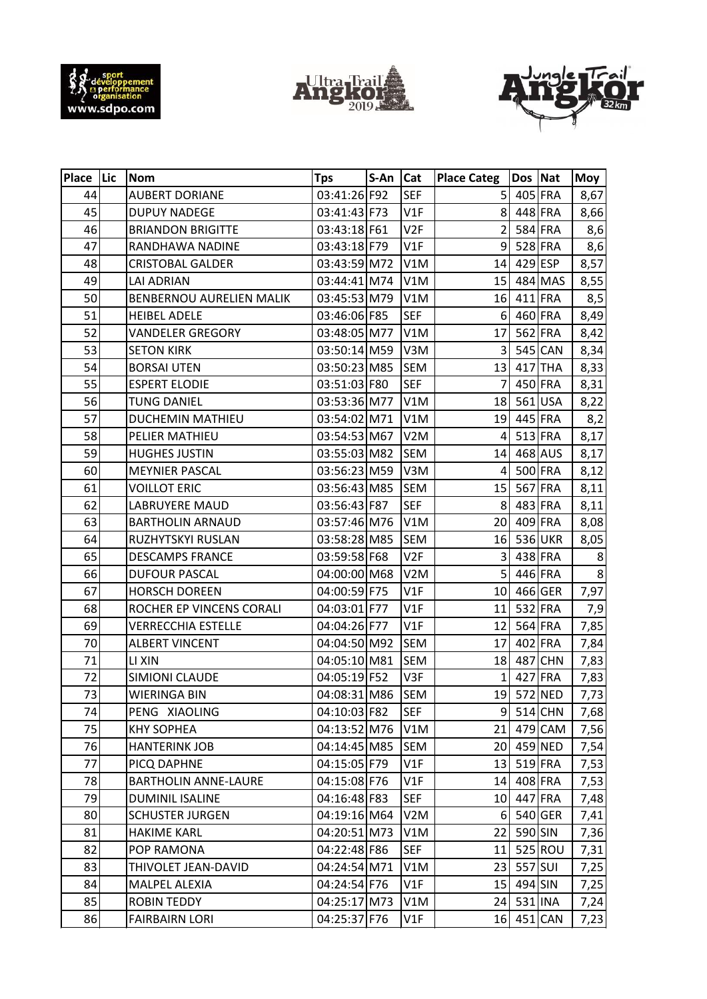





| Place Lic | <b>Nom</b>                  | <b>Tps</b>   | $S-An$ | Cat              | <b>Place Categ</b> | Dos Nat    |           | Moy  |
|-----------|-----------------------------|--------------|--------|------------------|--------------------|------------|-----------|------|
| 44        | <b>AUBERT DORIANE</b>       | 03:41:26 F92 |        | <b>SEF</b>       | 5 <sup>1</sup>     |            | 405 FRA   | 8,67 |
| 45        | <b>DUPUY NADEGE</b>         | 03:41:43 F73 |        | V1F              | 8                  |            | 448 FRA   | 8,66 |
| 46        | <b>BRIANDON BRIGITTE</b>    | 03:43:18 F61 |        | V2F              | $\overline{2}$     |            | 584 FRA   | 8,6  |
| 47        | RANDHAWA NADINE             | 03:43:18 F79 |        | V1F              | 9                  |            | 528 FRA   | 8,6  |
| 48        | <b>CRISTOBAL GALDER</b>     | 03:43:59 M72 |        | V1M              | 14                 | 429 ESP    |           | 8,57 |
| 49        | <b>LAI ADRIAN</b>           | 03:44:41 M74 |        | V1M              | 15                 |            | 484 MAS   | 8,55 |
| 50        | BENBERNOU AURELIEN MALIK    | 03:45:53 M79 |        | V1M              | 16                 |            | $411$ FRA | 8,5  |
| 51        | <b>HEIBEL ADELE</b>         | 03:46:06 F85 |        | <b>SEF</b>       | 6                  |            | 460 FRA   | 8,49 |
| 52        | <b>VANDELER GREGORY</b>     | 03:48:05 M77 |        | V1M              | 17                 |            | 562 FRA   | 8,42 |
| 53        | <b>SETON KIRK</b>           | 03:50:14 M59 |        | V3M              | 3                  |            | 545 CAN   | 8,34 |
| 54        | <b>BORSAI UTEN</b>          | 03:50:23 M85 |        | <b>SEM</b>       | 13                 |            | 417 THA   | 8,33 |
| 55        | <b>ESPERT ELODIE</b>        | 03:51:03 F80 |        | <b>SEF</b>       | 7                  |            | 450 FRA   | 8,31 |
| 56        | <b>TUNG DANIEL</b>          | 03:53:36 M77 |        | V1M              | 18                 |            | 561 USA   | 8,22 |
| 57        | <b>DUCHEMIN MATHIEU</b>     | 03:54:02 M71 |        | V1M              | 19                 |            | 445 FRA   | 8,2  |
| 58        | PELIER MATHIEU              | 03:54:53 M67 |        | V <sub>2</sub> M | 4                  |            | 513 FRA   | 8,17 |
| 59        | <b>HUGHES JUSTIN</b>        | 03:55:03 M82 |        | <b>SEM</b>       | 14                 |            | 468 AUS   | 8,17 |
| 60        | <b>MEYNIER PASCAL</b>       | 03:56:23 M59 |        | V3M              | 4                  |            | 500 FRA   | 8,12 |
| 61        | <b>VOILLOT ERIC</b>         | 03:56:43 M85 |        | <b>SEM</b>       | 15                 |            | 567 FRA   | 8,11 |
| 62        | LABRUYERE MAUD              | 03:56:43 F87 |        | <b>SEF</b>       | 8 <sup>1</sup>     |            | 483 FRA   | 8,11 |
| 63        | <b>BARTHOLIN ARNAUD</b>     | 03:57:46 M76 |        | V1M              | 20                 |            | 409 FRA   | 8,08 |
| 64        | RUZHYTSKYI RUSLAN           | 03:58:28 M85 |        | <b>SEM</b>       | 16                 |            | 536 UKR   | 8,05 |
| 65        | <b>DESCAMPS FRANCE</b>      | 03:59:58 F68 |        | V2F              | 3                  |            | 438 FRA   | 8    |
| 66        | <b>DUFOUR PASCAL</b>        | 04:00:00 M68 |        | V <sub>2</sub> M | 5                  |            | 446 FRA   | 8    |
| 67        | <b>HORSCH DOREEN</b>        | 04:00:59 F75 |        | V1F              | 10 <sub>1</sub>    |            | 466 GER   | 7,97 |
| 68        | ROCHER EP VINCENS CORALI    | 04:03:01 F77 |        | V1F              | 11                 |            | 532 FRA   | 7,9  |
| 69        | <b>VERRECCHIA ESTELLE</b>   | 04:04:26 F77 |        | V1F              | 12                 |            | 564 FRA   | 7,85 |
| 70        | <b>ALBERT VINCENT</b>       | 04:04:50 M92 |        | <b>SEM</b>       | 17                 |            | 402 FRA   | 7,84 |
| 71        | LI XIN                      | 04:05:10 M81 |        | SEM              | 18                 |            | 487 CHN   | 7,83 |
| 72        | SIMIONI CLAUDE              | 04:05:19 F52 |        | V3F              | $\mathbf{1}$       |            | 427 FRA   | 7,83 |
| 73        | <b>WIERINGA BIN</b>         | 04:08:31 M86 |        | <b>SEM</b>       |                    | 19 572 NED |           | 7,73 |
| 74        | PENG XIAOLING               | 04:10:03 F82 |        | <b>SEF</b>       | 9 <sub>l</sub>     |            | 514 CHN   | 7,68 |
| 75        | <b>KHY SOPHEA</b>           | 04:13:52 M76 |        | V1M              | 21                 |            | 479 CAM   | 7,56 |
| 76        | <b>HANTERINK JOB</b>        | 04:14:45 M85 |        | SEM              | 20                 |            | 459 NED   | 7,54 |
| 77        | PICQ DAPHNE                 | 04:15:05 F79 |        | V1F              | 13                 |            | $519$ FRA | 7,53 |
| 78        | <b>BARTHOLIN ANNE-LAURE</b> | 04:15:08 F76 |        | V1F              | 14                 |            | 408 FRA   | 7,53 |
| 79        | <b>DUMINIL ISALINE</b>      | 04:16:48 F83 |        | SEF              | 10 <sup>1</sup>    |            | 447 FRA   | 7,48 |
| 80        | <b>SCHUSTER JURGEN</b>      | 04:19:16 M64 |        | V2M              | $6 \mid$           |            | 540 GER   | 7,41 |
| 81        | <b>HAKIME KARL</b>          | 04:20:51 M73 |        | V1M              | 22                 | 590 SIN    |           | 7,36 |
| 82        | POP RAMONA                  | 04:22:48 F86 |        | <b>SEF</b>       | 11                 |            | 525 ROU   | 7,31 |
| 83        | THIVOLET JEAN-DAVID         | 04:24:54 M71 |        | V1M              | 23                 | 557 SUI    |           | 7,25 |
| 84        | MALPEL ALEXIA               | 04:24:54 F76 |        | V1F              | 15                 | 494 SIN    |           | 7,25 |
| 85        | <b>ROBIN TEDDY</b>          | 04:25:17 M73 |        | V1M              | 24                 |            | 531 INA   | 7,24 |
| 86        | <b>FAIRBAIRN LORI</b>       | 04:25:37 F76 |        | V1F              | 16                 |            | 451 CAN   | 7,23 |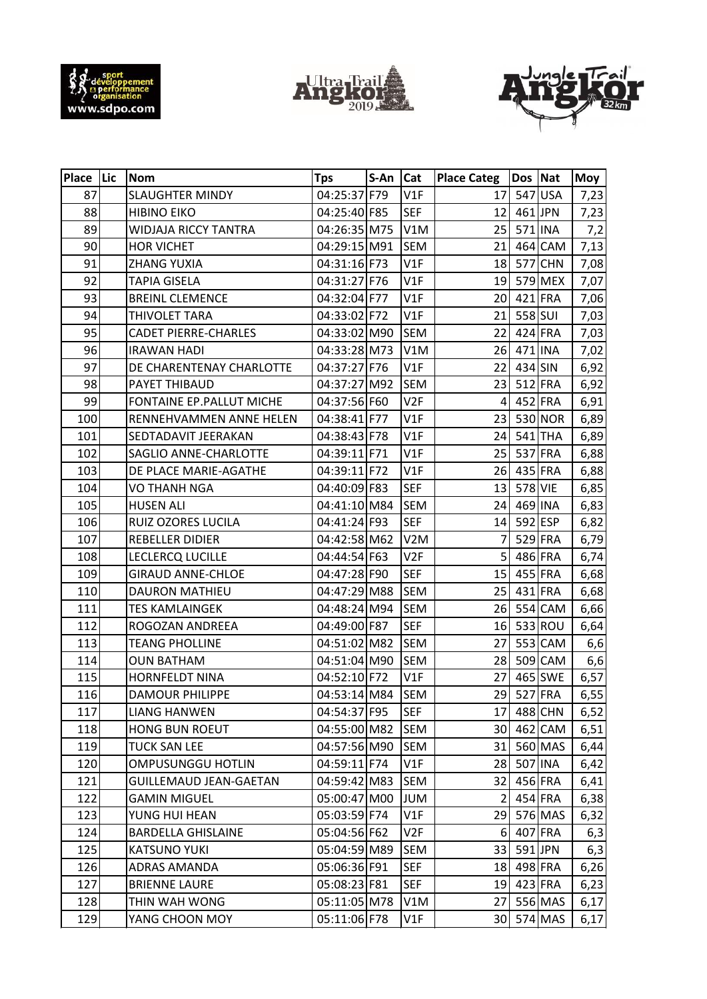





| Place Lic | <b>Nom</b>                    | <b>Tps</b>   | $S-An$ | Cat              | <b>Place Categ</b> | Dos Nat    |            | Moy  |
|-----------|-------------------------------|--------------|--------|------------------|--------------------|------------|------------|------|
| 87        | <b>SLAUGHTER MINDY</b>        | 04:25:37 F79 |        | V1F              | 17                 |            | 547 USA    | 7,23 |
| 88        | <b>HIBINO EIKO</b>            | 04:25:40 F85 |        | <b>SEF</b>       | 12                 |            | 461 JPN    | 7,23 |
| 89        | WIDJAJA RICCY TANTRA          | 04:26:35 M75 |        | V1M              | 25                 |            | 571 INA    | 7,2  |
| 90        | <b>HOR VICHET</b>             | 04:29:15 M91 |        | <b>SEM</b>       | 21                 |            | 464 CAM    | 7,13 |
| 91        | <b>ZHANG YUXIA</b>            | 04:31:16 F73 |        | V1F              | 18                 |            | 577 CHN    | 7,08 |
| 92        | <b>TAPIA GISELA</b>           | 04:31:27 F76 |        | V1F              | 19                 |            | 579 MEX    | 7,07 |
| 93        | <b>BREINL CLEMENCE</b>        | 04:32:04 F77 |        | V1F              | 20                 |            | 421 FRA    | 7,06 |
| 94        | THIVOLET TARA                 | 04:33:02 F72 |        | V1F              | 21                 | 558 SUI    |            | 7,03 |
| 95        | <b>CADET PIERRE-CHARLES</b>   | 04:33:02 M90 |        | <b>SEM</b>       | 22                 |            | 424 FRA    | 7,03 |
| 96        | <b>IRAWAN HADI</b>            | 04:33:28 M73 |        | V1M              | 26                 | 471 INA    |            | 7,02 |
| 97        | DE CHARENTENAY CHARLOTTE      | 04:37:27 F76 |        | V1F              | 22                 | 434 SIN    |            | 6,92 |
| 98        | PAYET THIBAUD                 | 04:37:27 M92 |        | <b>SEM</b>       | 23                 |            | 512 FRA    | 6,92 |
| 99        | FONTAINE EP. PALLUT MICHE     | 04:37:56 F60 |        | V <sub>2F</sub>  | 4                  |            | 452 FRA    | 6,91 |
| 100       | RENNEHVAMMEN ANNE HELEN       | 04:38:41 F77 |        | V1F              | 23                 |            | 530 NOR    | 6,89 |
| 101       | SEDTADAVIT JEERAKAN           | 04:38:43 F78 |        | V1F              | 24                 |            | 541 THA    | 6,89 |
| 102       | SAGLIO ANNE-CHARLOTTE         | 04:39:11 F71 |        | V1F              | 25                 |            | 537 FRA    | 6,88 |
| 103       | DE PLACE MARIE-AGATHE         | 04:39:11 F72 |        | V1F              | 26                 |            | 435 FRA    | 6,88 |
| 104       | <b>VO THANH NGA</b>           | 04:40:09 F83 |        | <b>SEF</b>       | 13                 | 578 VIE    |            | 6,85 |
| 105       | <b>HUSEN ALI</b>              | 04:41:10 M84 |        | <b>SEM</b>       | 24                 |            | 469 INA    | 6,83 |
| 106       | RUIZ OZORES LUCILA            | 04:41:24 F93 |        | <b>SEF</b>       | 14                 | 592 ESP    |            | 6,82 |
| 107       | <b>REBELLER DIDIER</b>        | 04:42:58 M62 |        | V <sub>2</sub> M | 7                  |            | 529 FRA    | 6,79 |
| 108       | LECLERCQ LUCILLE              | 04:44:54 F63 |        | V <sub>2F</sub>  | 5                  |            | 486 FRA    | 6,74 |
| 109       | <b>GIRAUD ANNE-CHLOE</b>      | 04:47:28 F90 |        | <b>SEF</b>       | 15                 |            | 455 FRA    | 6,68 |
| 110       | <b>DAURON MATHIEU</b>         | 04:47:29 M88 |        | <b>SEM</b>       | 25                 |            | 431 FRA    | 6,68 |
| 111       | <b>TES KAMLAINGEK</b>         | 04:48:24 M94 |        | <b>SEM</b>       | 26                 |            | 554 CAM    | 6,66 |
| 112       | ROGOZAN ANDREEA               | 04:49:00 F87 |        | <b>SEF</b>       | 16                 |            | 533 ROU    | 6,64 |
| 113       | <b>TEANG PHOLLINE</b>         | 04:51:02 M82 |        | <b>SEM</b>       | 27                 |            | 553 CAM    | 6,6  |
| 114       | <b>OUN BATHAM</b>             | 04:51:04 M90 |        | <b>SEM</b>       | 28                 |            | 509 CAM    | 6,6  |
| 115       | HORNFELDT NINA                | 04:52:10 F72 |        | V1F              | 27                 |            | 465 SWE    | 6,57 |
| 116       | <b>DAMOUR PHILIPPE</b>        | 04:53:14 M84 |        | <b>SEM</b>       | 29                 |            | 527 FRA    | 6,55 |
| 117       | <b>LIANG HANWEN</b>           | 04:54:37 F95 |        | SEF              | 17                 |            | 488 CHN    | 6,52 |
| 118       | <b>HONG BUN ROEUT</b>         | 04:55:00 M82 |        | SEM              | 30 <sub>l</sub>    |            | 462 CAM    | 6,51 |
| 119       | <b>TUCK SAN LEE</b>           | 04:57:56 M90 |        | SEM              | 31                 |            | 560 MAS    | 6,44 |
| 120       | OMPUSUNGGU HOTLIN             | 04:59:11 F74 |        | V1F              | 28                 |            | 507 INA    | 6,42 |
| 121       | <b>GUILLEMAUD JEAN-GAETAN</b> | 04:59:42 M83 |        | SEM              | 32                 |            | 456 FRA    | 6,41 |
| 122       | <b>GAMIN MIGUEL</b>           | 05:00:47 M00 |        | <b>JUM</b>       | $\overline{2}$     |            | 454 FRA    | 6,38 |
| 123       | YUNG HUI HEAN                 | 05:03:59 F74 |        | V1F              | 29                 |            | 576 MAS    | 6,32 |
| 124       | <b>BARDELLA GHISLAINE</b>     | 05:04:56 F62 |        | V2F              | 6                  |            | 407 FRA    | 6,3  |
| 125       | <b>KATSUNO YUKI</b>           | 05:04:59 M89 |        | SEM              | 33                 |            | 591 JPN    | 6,3  |
| 126       | <b>ADRAS AMANDA</b>           | 05:06:36 F91 |        | SEF              | 18                 |            | 498 FRA    | 6,26 |
| 127       | <b>BRIENNE LAURE</b>          | 05:08:23 F81 |        | SEF              |                    | 19 423 FRA |            | 6,23 |
| 128       | THIN WAH WONG                 | 05:11:05 M78 |        | V1M              | 27                 |            | 556 MAS    | 6,17 |
| 129       | YANG CHOON MOY                | 05:11:06 F78 |        | V1F              |                    |            | 30 574 MAS | 6,17 |